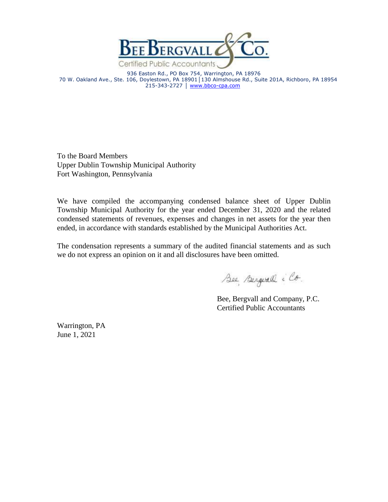

936 Easton Rd., PO Box 754, Warrington, PA 18976 70 W. Oakland Ave., Ste. 106, Doylestown, PA 18901│130 Almshouse Rd., Suite 201A, Richboro, PA 18954 215-343-2727 | [www.bbco-cpa.com](http://www.bbco-cpa.com/)

To the Board Members Upper Dublin Township Municipal Authority Fort Washington, Pennsylvania

We have compiled the accompanying condensed balance sheet of Upper Dublin Township Municipal Authority for the year ended December 31, 2020 and the related condensed statements of revenues, expenses and changes in net assets for the year then ended, in accordance with standards established by the Municipal Authorities Act.

The condensation represents a summary of the audited financial statements and as such we do not express an opinion on it and all disclosures have been omitted.

Bee Bergerald : Co.

Bee, Bergvall and Company, P.C. Certified Public Accountants

Warrington, PA June 1, 2021